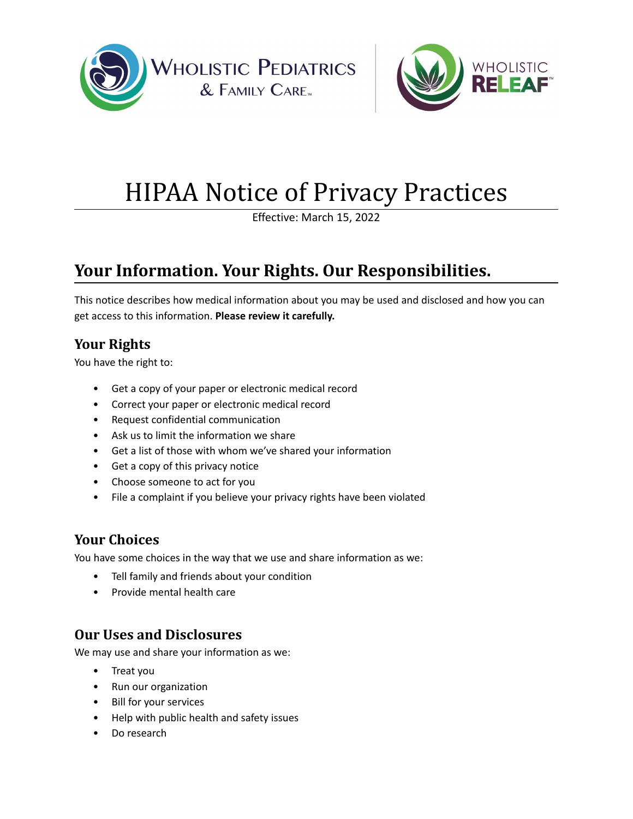



# HIPAA Notice of Privacy Practices

Effective: March 15, 2022

## **Your Information. Your Rights. Our Responsibilities.**

This notice describes how medical information about you may be used and disclosed and how you can get access to this information. **Please review it carefully.**

## **Your Rights**

You have the right to:

- Get a copy of your paper or electronic medical record
- Correct your paper or electronic medical record
- Request confidential communication
- Ask us to limit the information we share
- Get a list of those with whom we've shared your information
- Get a copy of this privacy notice
- Choose someone to act for you
- File a complaint if you believe your privacy rights have been violated

## **Your Choices**

You have some choices in the way that we use and share information as we:

- Tell family and friends about your condition
- Provide mental health care

## **Our Uses and Disclosures**

We may use and share your information as we:

- Treat you
- Run our organization
- Bill for your services
- Help with public health and safety issues
- Do research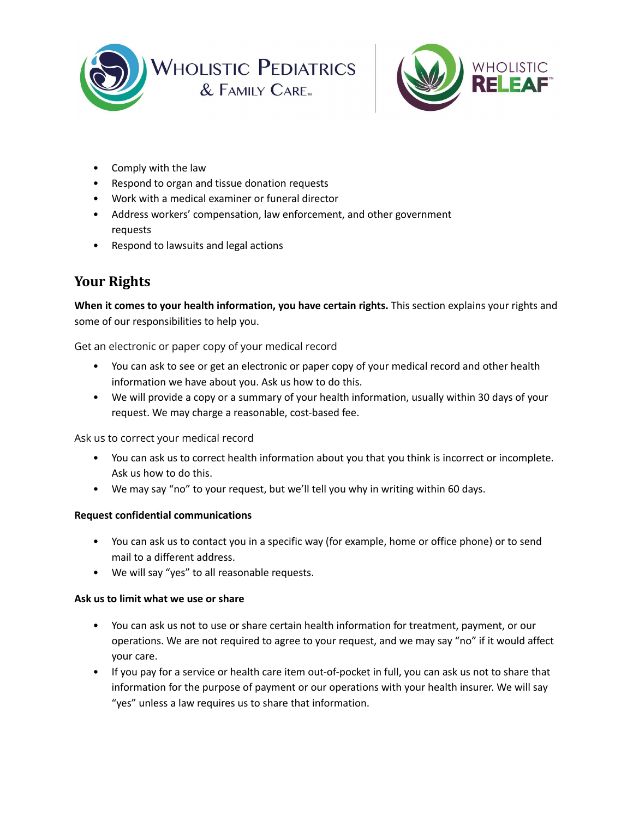



- Comply with the law
- Respond to organ and tissue donation requests
- Work with a medical examiner or funeral director
- Address workers' compensation, law enforcement, and other government requests
- Respond to lawsuits and legal actions

## **Your Rights**

**When it comes to your health information, you have certain rights.** This section explains your rights and some of our responsibilities to help you.

Get an electronic or paper copy of your medical record

- You can ask to see or get an electronic or paper copy of your medical record and other health information we have about you. Ask us how to do this.
- We will provide a copy or a summary of your health information, usually within 30 days of your request. We may charge a reasonable, cost-based fee.

Ask us to correct your medical record

- You can ask us to correct health information about you that you think is incorrect or incomplete. Ask us how to do this.
- We may say "no" to your request, but we'll tell you why in writing within 60 days.

#### **Request confidential communications**

- You can ask us to contact you in a specific way (for example, home or office phone) or to send mail to a different address.
- We will say "yes" to all reasonable requests.

#### **Ask us to limit what we use or share**

- You can ask us not to use or share certain health information for treatment, payment, or our operations. We are not required to agree to your request, and we may say "no" if it would affect your care.
- If you pay for a service or health care item out-of-pocket in full, you can ask us not to share that information for the purpose of payment or our operations with your health insurer. We will say "yes" unless a law requires us to share that information.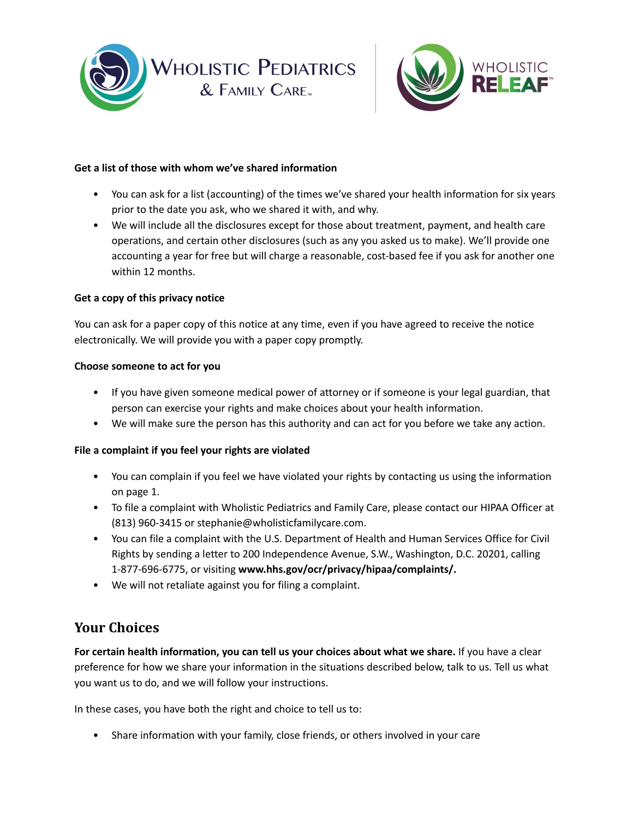



#### **Get a list of those with whom we've shared information**

- You can ask for a list (accounting) of the times we've shared your health information for six years prior to the date you ask, who we shared it with, and why.
- We will include all the disclosures except for those about treatment, payment, and health care operations, and certain other disclosures (such as any you asked us to make). We'll provide one accounting a year for free but will charge a reasonable, cost-based fee if you ask for another one within 12 months.

#### **Get a copy of this privacy notice**

You can ask for a paper copy of this notice at any time, even if you have agreed to receive the notice electronically. We will provide you with a paper copy promptly.

#### **Choose someone to act for you**

- If you have given someone medical power of attorney or if someone is your legal guardian, that person can exercise your rights and make choices about your health information.
- We will make sure the person has this authority and can act for you before we take any action.

#### **File a complaint if you feel your rights are violated**

- You can complain if you feel we have violated your rights by contacting us using the information on page 1.
- To file a complaint with Wholistic Pediatrics and Family Care, please contact our HIPAA Officer at (813) 960-3415 or stephanie@wholisticfamilycare.com.
- You can file a complaint with the U.S. Department of Health and Human Services Office for Civil Rights by sending a letter to 200 Independence Avenue, S.W., Washington, D.C. 20201, calling 1-877-696-6775, or visiting **www.hhs.gov/ocr/privacy/hipaa/complaints/.**
- We will not retaliate against you for filing a complaint.

## **Your Choices**

**For certain health information, you can tell us your choices about what we share.** If you have a clear preference for how we share your information in the situations described below, talk to us. Tell us what you want us to do, and we will follow your instructions.

In these cases, you have both the right and choice to tell us to:

• Share information with your family, close friends, or others involved in your care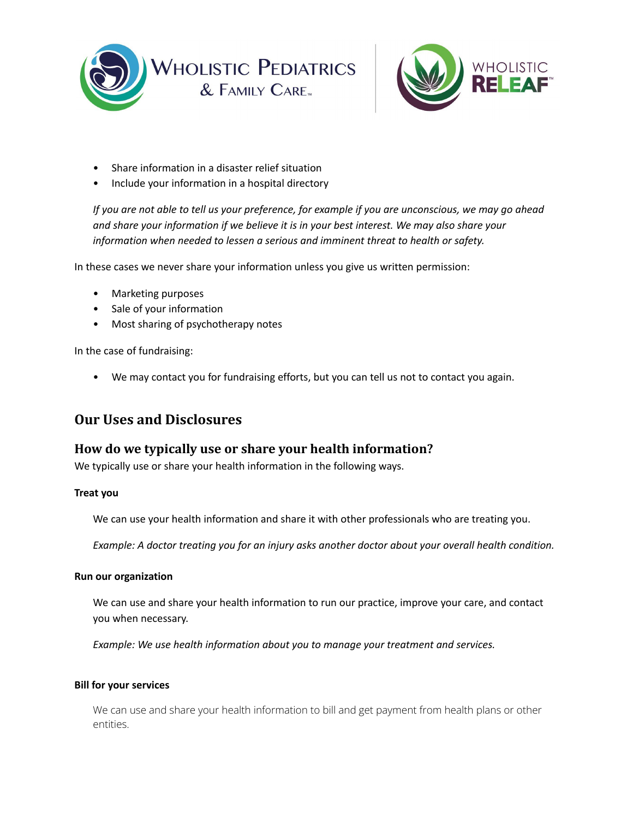



- Share information in a disaster relief situation
- Include your information in a hospital directory

If you are not able to tell us your preference, for example if you are unconscious, we may go ahead *and share your information if we believe it is in your best interest. We may also share your information when needed to lessen a serious and imminent threat to health or safety.*

In these cases we never share your information unless you give us written permission:

- Marketing purposes
- Sale of your information
- Most sharing of psychotherapy notes

In the case of fundraising:

• We may contact you for fundraising efforts, but you can tell us not to contact you again.

## **Our Uses and Disclosures**

#### **How do we typically use or share your health information?**

We typically use or share your health information in the following ways.

#### **Treat you**

We can use your health information and share it with other professionals who are treating you.

*Example: A doctor treating you for an injury asks another doctor about your overall health condition.*

#### **Run our organization**

We can use and share your health information to run our practice, improve your care, and contact you when necessary.

*Example: We use health information about you to manage your treatment and services.*

#### **Bill for your services**

We can use and share your health information to bill and get payment from health plans or other entities.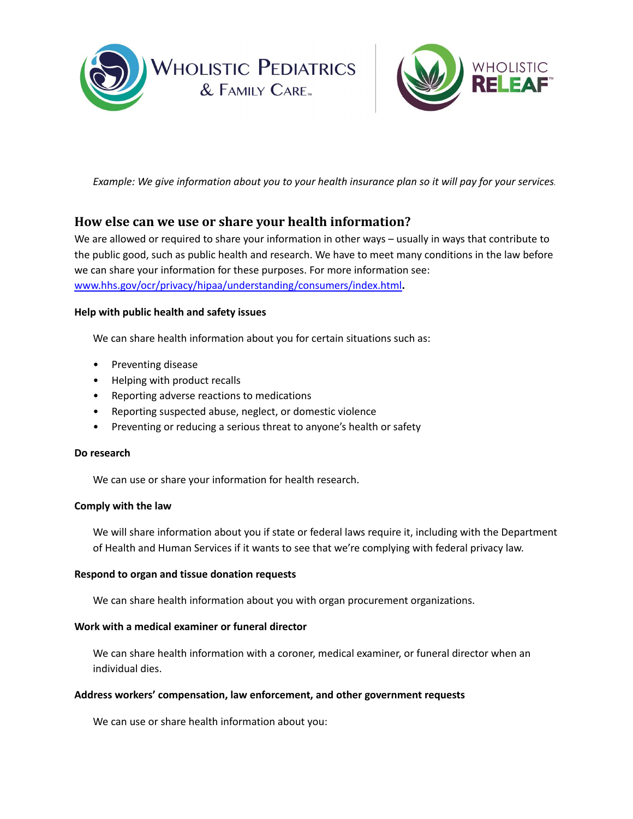



Example: We give information about you to your health insurance plan so it will pay for your services.

#### **How else can we use or share your health information?**

We are allowed or required to share your information in other ways – usually in ways that contribute to the public good, such as public health and research. We have to meet many conditions in the law before we can share your information for these purposes. For more information see: [www.hhs.gov/ocr/privacy/hipaa/understanding/consumers/index.html](http://www.hhs.gov/ocr/privacy/hipaa/understanding/consumers/index.html)**.**

#### **Help with public health and safety issues**

We can share health information about you for certain situations such as:

- Preventing disease
- Helping with product recalls
- Reporting adverse reactions to medications
- Reporting suspected abuse, neglect, or domestic violence
- Preventing or reducing a serious threat to anyone's health or safety

#### **Do research**

We can use or share your information for health research.

#### **Comply with the law**

We will share information about you if state or federal laws require it, including with the Department of Health and Human Services if it wants to see that we're complying with federal privacy law.

#### **Respond to organ and tissue donation requests**

We can share health information about you with organ procurement organizations.

#### **Work with a medical examiner or funeral director**

We can share health information with a coroner, medical examiner, or funeral director when an individual dies.

#### **Address workers' compensation, law enforcement, and other government requests**

We can use or share health information about you: